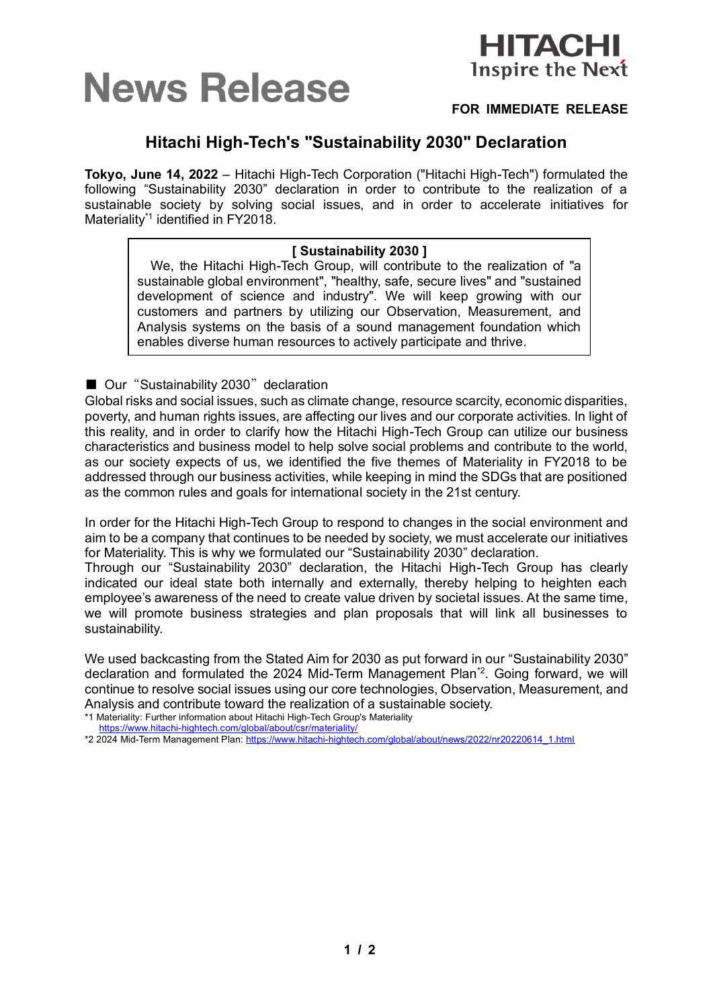# **News Release**



# **FOR IMMEDIATE RELEASE**

# **Hitachi High-Tech's "Sustainability 2030" Declaration**

**Tokyo, June 14, 2022** – Hitachi High-Tech Corporation ("Hitachi High-Tech") formulated the following "Sustainability 2030" declaration in order to contribute to the realization of a sustainable society by solving social issues, and in order to accelerate initiatives for Materiality<sup>\*1</sup> identified in FY2018.

# **[ Sustainability 2030 ]**

We, the Hitachi High-Tech Group, will contribute to the realization of "a sustainable global environment", "healthy, safe, secure lives" and "sustained development of science and industry". We will keep growing with our customers and partners by utilizing our Observation, Measurement, and Analysis systems on the basis of a sound management foundation which enables diverse human resources to actively participate and thrive.

■ Our "Sustainability 2030" declaration

Global risks and social issues, such as climate change, resource scarcity, economic disparities, poverty, and human rights issues, are affecting our lives and our corporate activities. In light of this reality, and in order to clarify how the Hitachi High-Tech Group can utilize our business characteristics and business model to help solve social problems and contribute to the world, as our society expects of us, we identified the five themes of Materiality in FY2018 to be addressed through our business activities, while keeping in mind the SDGs that are positioned as the common rules and goals for international society in the 21st century.

In order for the Hitachi High-Tech Group to respond to changes in the social environment and aim to be a company that continues to be needed by society, we must accelerate our initiatives for Materiality. This is why we formulated our "Sustainability 2030" declaration.

Through our "Sustainability 2030" declaration, the Hitachi High-Tech Group has clearly indicated our ideal state both internally and externally, thereby helping to heighten each employee's awareness of the need to create value driven by societal issues. At the same time, we will promote business strategies and plan proposals that will link all businesses to sustainability.

We used backcasting from the Stated Aim for 2030 as put forward in our "Sustainability 2030" declaration and formulated the 2024 Mid-Term Management Plan<sup>\*2</sup>. Going forward, we will continue to resolve social issues using our core technologies, Observation, Measurement, and Analysis and contribute toward the realization of a sustainable society.

\*1 Materiality: Further information about Hitachi High-Tech Group's Materiality

<https://www.hitachi-hightech.com/global/about/csr/materiality/>

<sup>\*2 2024</sup> Mid-Term Management Plan[: https://www.hitachi-hightech.com/global/about/news/2022/nr20220614\\_1.html](https://www.hitachi-hightech.com/global/about/news/2022/nr20220614_1.html)